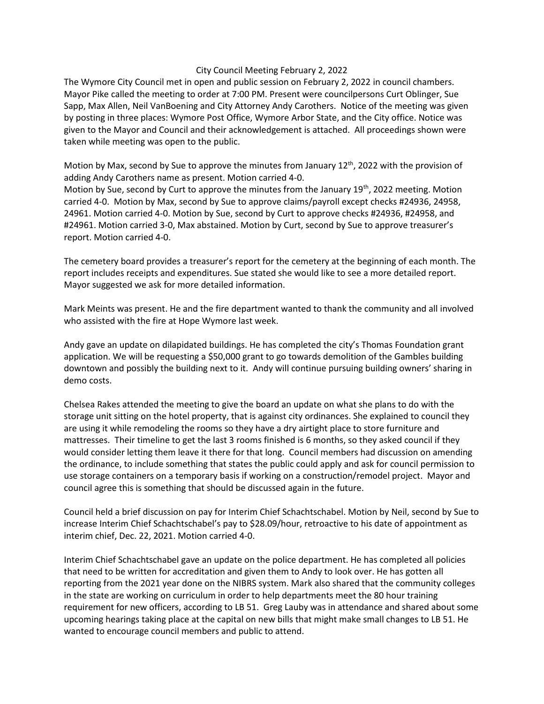## City Council Meeting February 2, 2022

The Wymore City Council met in open and public session on February 2, 2022 in council chambers. Mayor Pike called the meeting to order at 7:00 PM. Present were councilpersons Curt Oblinger, Sue Sapp, Max Allen, Neil VanBoening and City Attorney Andy Carothers. Notice of the meeting was given by posting in three places: Wymore Post Office, Wymore Arbor State, and the City office. Notice was given to the Mayor and Council and their acknowledgement is attached. All proceedings shown were taken while meeting was open to the public.

Motion by Max, second by Sue to approve the minutes from January  $12<sup>th</sup>$ , 2022 with the provision of adding Andy Carothers name as present. Motion carried 4-0.

Motion by Sue, second by Curt to approve the minutes from the January 19<sup>th</sup>, 2022 meeting. Motion carried 4-0. Motion by Max, second by Sue to approve claims/payroll except checks #24936, 24958, 24961. Motion carried 4-0. Motion by Sue, second by Curt to approve checks #24936, #24958, and #24961. Motion carried 3-0, Max abstained. Motion by Curt, second by Sue to approve treasurer's report. Motion carried 4-0.

The cemetery board provides a treasurer's report for the cemetery at the beginning of each month. The report includes receipts and expenditures. Sue stated she would like to see a more detailed report. Mayor suggested we ask for more detailed information.

Mark Meints was present. He and the fire department wanted to thank the community and all involved who assisted with the fire at Hope Wymore last week.

Andy gave an update on dilapidated buildings. He has completed the city's Thomas Foundation grant application. We will be requesting a \$50,000 grant to go towards demolition of the Gambles building downtown and possibly the building next to it. Andy will continue pursuing building owners' sharing in demo costs.

Chelsea Rakes attended the meeting to give the board an update on what she plans to do with the storage unit sitting on the hotel property, that is against city ordinances. She explained to council they are using it while remodeling the rooms so they have a dry airtight place to store furniture and mattresses. Their timeline to get the last 3 rooms finished is 6 months, so they asked council if they would consider letting them leave it there for that long. Council members had discussion on amending the ordinance, to include something that states the public could apply and ask for council permission to use storage containers on a temporary basis if working on a construction/remodel project. Mayor and council agree this is something that should be discussed again in the future.

Council held a brief discussion on pay for Interim Chief Schachtschabel. Motion by Neil, second by Sue to increase Interim Chief Schachtschabel's pay to \$28.09/hour, retroactive to his date of appointment as interim chief, Dec. 22, 2021. Motion carried 4-0.

Interim Chief Schachtschabel gave an update on the police department. He has completed all policies that need to be written for accreditation and given them to Andy to look over. He has gotten all reporting from the 2021 year done on the NIBRS system. Mark also shared that the community colleges in the state are working on curriculum in order to help departments meet the 80 hour training requirement for new officers, according to LB 51. Greg Lauby was in attendance and shared about some upcoming hearings taking place at the capital on new bills that might make small changes to LB 51. He wanted to encourage council members and public to attend.